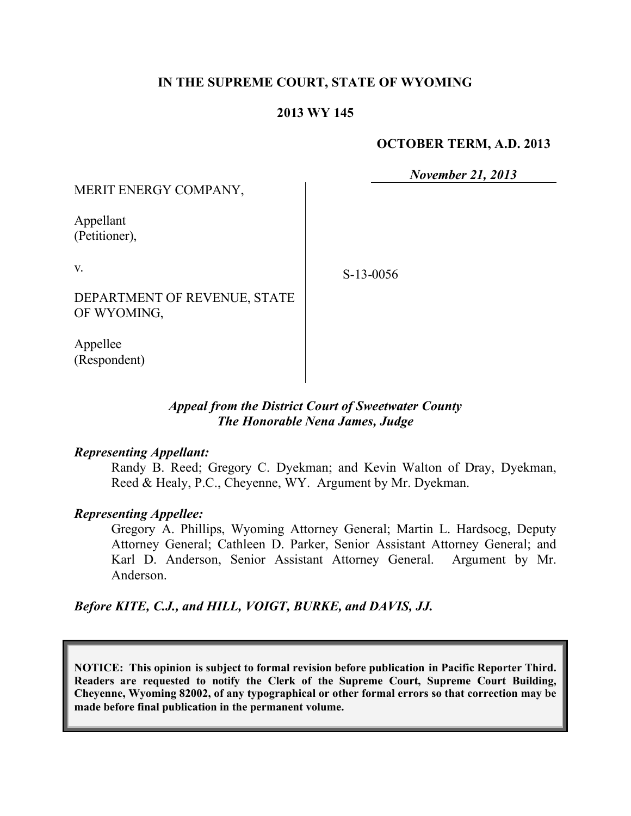## **IN THE SUPREME COURT, STATE OF WYOMING**

## **2013 WY 145**

### **OCTOBER TERM, A.D. 2013**

*November 21, 2013*

MERIT ENERGY COMPANY,

Appellant (Petitioner),

v.

DEPARTMENT OF REVENUE, STATE OF WYOMING,

S-13-0056

Appellee (Respondent)

# *Appeal from the District Court of Sweetwater County The Honorable Nena James, Judge*

### *Representing Appellant:*

Randy B. Reed; Gregory C. Dyekman; and Kevin Walton of Dray, Dyekman, Reed & Healy, P.C., Cheyenne, WY. Argument by Mr. Dyekman.

### *Representing Appellee:*

Gregory A. Phillips, Wyoming Attorney General; Martin L. Hardsocg, Deputy Attorney General; Cathleen D. Parker, Senior Assistant Attorney General; and Karl D. Anderson, Senior Assistant Attorney General. Argument by Mr. Anderson.

*Before KITE, C.J., and HILL, VOIGT, BURKE, and DAVIS, JJ.*

**NOTICE: This opinion is subject to formal revision before publication in Pacific Reporter Third. Readers are requested to notify the Clerk of the Supreme Court, Supreme Court Building, Cheyenne, Wyoming 82002, of any typographical or other formal errors so that correction may be made before final publication in the permanent volume.**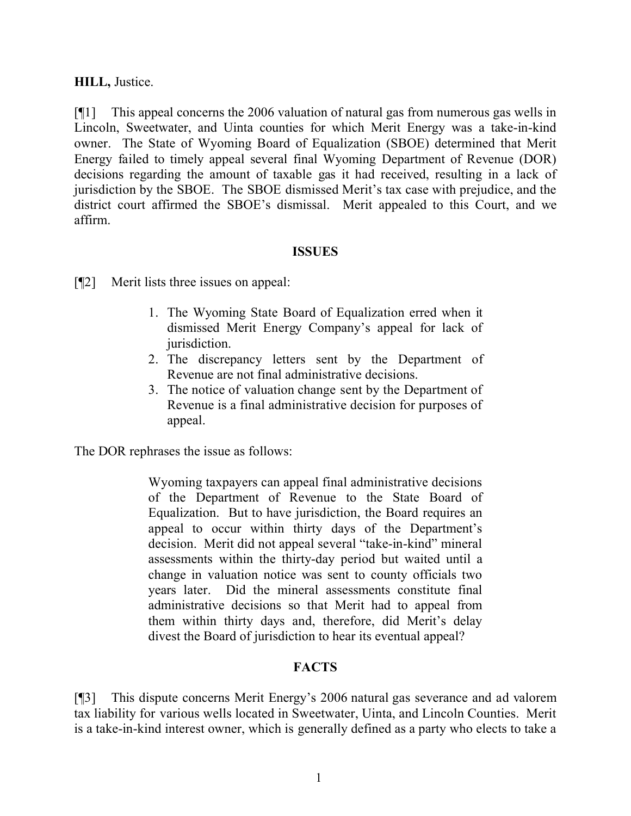# **HILL,** Justice.

[¶1] This appeal concerns the 2006 valuation of natural gas from numerous gas wells in Lincoln, Sweetwater, and Uinta counties for which Merit Energy was a take-in-kind owner. The State of Wyoming Board of Equalization (SBOE) determined that Merit Energy failed to timely appeal several final Wyoming Department of Revenue (DOR) decisions regarding the amount of taxable gas it had received, resulting in a lack of jurisdiction by the SBOE. The SBOE dismissed Merit's tax case with prejudice, and the district court affirmed the SBOE's dismissal. Merit appealed to this Court, and we affirm.

## **ISSUES**

[¶2] Merit lists three issues on appeal:

- 1. The Wyoming State Board of Equalization erred when it dismissed Merit Energy Company's appeal for lack of jurisdiction.
- 2. The discrepancy letters sent by the Department of Revenue are not final administrative decisions.
- 3. The notice of valuation change sent by the Department of Revenue is a final administrative decision for purposes of appeal.

The DOR rephrases the issue as follows:

Wyoming taxpayers can appeal final administrative decisions of the Department of Revenue to the State Board of Equalization. But to have jurisdiction, the Board requires an appeal to occur within thirty days of the Department's decision. Merit did not appeal several "take-in-kind" mineral assessments within the thirty-day period but waited until a change in valuation notice was sent to county officials two years later. Did the mineral assessments constitute final administrative decisions so that Merit had to appeal from them within thirty days and, therefore, did Merit's delay divest the Board of jurisdiction to hear its eventual appeal?

# **FACTS**

[¶3] This dispute concerns Merit Energy's 2006 natural gas severance and ad valorem tax liability for various wells located in Sweetwater, Uinta, and Lincoln Counties. Merit is a take-in-kind interest owner, which is generally defined as a party who elects to take a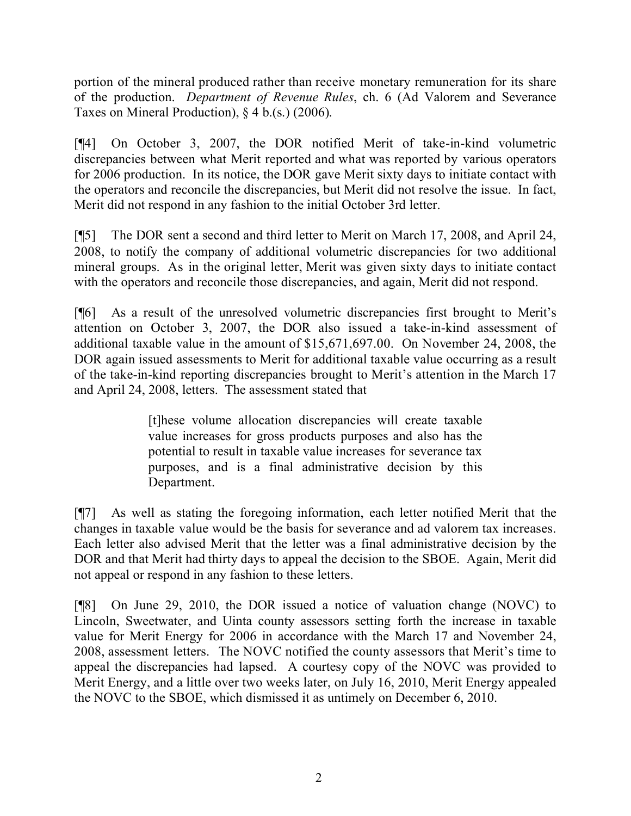portion of the mineral produced rather than receive monetary remuneration for its share of the production. *Department of Revenue Rules*, ch. 6 (Ad Valorem and Severance Taxes on Mineral Production), § 4 b.(s.) (2006).

[¶4] On October 3, 2007, the DOR notified Merit of take-in-kind volumetric discrepancies between what Merit reported and what was reported by various operators for 2006 production. In its notice, the DOR gave Merit sixty days to initiate contact with the operators and reconcile the discrepancies, but Merit did not resolve the issue. In fact, Merit did not respond in any fashion to the initial October 3rd letter.

[¶5] The DOR sent a second and third letter to Merit on March 17, 2008, and April 24, 2008, to notify the company of additional volumetric discrepancies for two additional mineral groups. As in the original letter, Merit was given sixty days to initiate contact with the operators and reconcile those discrepancies, and again, Merit did not respond.

[¶6] As a result of the unresolved volumetric discrepancies first brought to Merit's attention on October 3, 2007, the DOR also issued a take-in-kind assessment of additional taxable value in the amount of \$15,671,697.00. On November 24, 2008, the DOR again issued assessments to Merit for additional taxable value occurring as a result of the take-in-kind reporting discrepancies brought to Merit's attention in the March 17 and April 24, 2008, letters. The assessment stated that

> [t]hese volume allocation discrepancies will create taxable value increases for gross products purposes and also has the potential to result in taxable value increases for severance tax purposes, and is a final administrative decision by this Department.

[¶7] As well as stating the foregoing information, each letter notified Merit that the changes in taxable value would be the basis for severance and ad valorem tax increases. Each letter also advised Merit that the letter was a final administrative decision by the DOR and that Merit had thirty days to appeal the decision to the SBOE. Again, Merit did not appeal or respond in any fashion to these letters.

[¶8] On June 29, 2010, the DOR issued a notice of valuation change (NOVC) to Lincoln, Sweetwater, and Uinta county assessors setting forth the increase in taxable value for Merit Energy for 2006 in accordance with the March 17 and November 24, 2008, assessment letters. The NOVC notified the county assessors that Merit's time to appeal the discrepancies had lapsed. A courtesy copy of the NOVC was provided to Merit Energy, and a little over two weeks later, on July 16, 2010, Merit Energy appealed the NOVC to the SBOE, which dismissed it as untimely on December 6, 2010.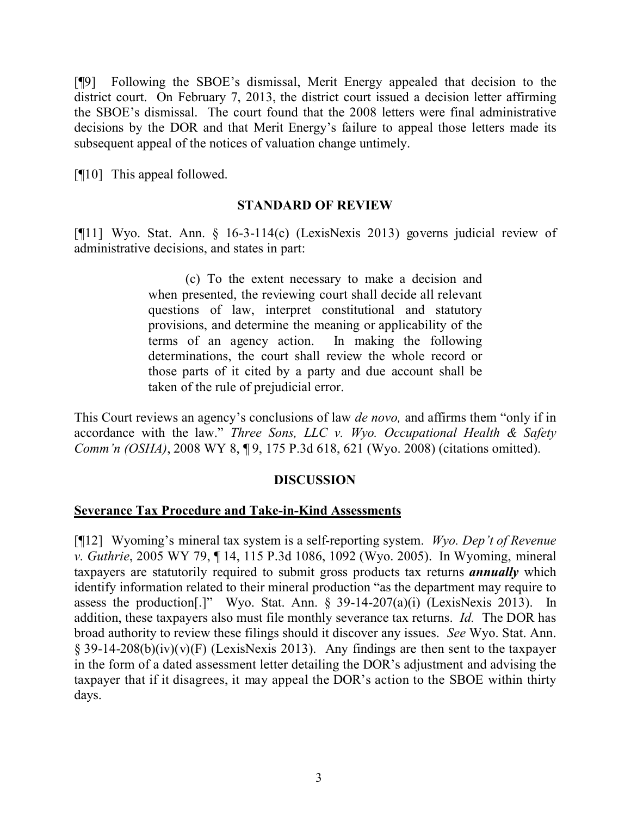[¶9] Following the SBOE's dismissal, Merit Energy appealed that decision to the district court. On February 7, 2013, the district court issued a decision letter affirming the SBOE's dismissal. The court found that the 2008 letters were final administrative decisions by the DOR and that Merit Energy's failure to appeal those letters made its subsequent appeal of the notices of valuation change untimely.

[¶10] This appeal followed.

### **STANDARD OF REVIEW**

[¶11] Wyo. Stat. Ann. § 16-3-114(c) (LexisNexis 2013) governs judicial review of administrative decisions, and states in part:

> (c) To the extent necessary to make a decision and when presented, the reviewing court shall decide all relevant questions of law, interpret constitutional and statutory provisions, and determine the meaning or applicability of the terms of an agency action. In making the following determinations, the court shall review the whole record or those parts of it cited by a party and due account shall be taken of the rule of prejudicial error.

This Court reviews an agency's conclusions of law *de novo,* and affirms them "only if in accordance with the law." *Three Sons, LLC v. Wyo. Occupational Health & Safety Comm'n (OSHA)*, 2008 WY 8, ¶ 9, 175 P.3d 618, 621 (Wyo. 2008) (citations omitted).

# **DISCUSSION**

### **Severance Tax Procedure and Take-in-Kind Assessments**

[¶12] Wyoming's mineral tax system is a self-reporting system. *Wyo. Dep't of Revenue v. Guthrie*, 2005 WY 79, ¶ 14, 115 P.3d 1086, 1092 (Wyo. 2005). In Wyoming, mineral taxpayers are statutorily required to submit gross products tax returns *annually* which identify information related to their mineral production "as the department may require to assess the production[.]" Wyo. Stat. Ann.  $\S$  39-14-207(a)(i) (LexisNexis 2013). In addition, these taxpayers also must file monthly severance tax returns. *Id.* The DOR has broad authority to review these filings should it discover any issues. *See* Wyo. Stat. Ann.  $\S$  39-14-208(b)(iv)(v)(F) (LexisNexis 2013). Any findings are then sent to the taxpayer in the form of a dated assessment letter detailing the DOR's adjustment and advising the taxpayer that if it disagrees, it may appeal the DOR's action to the SBOE within thirty days.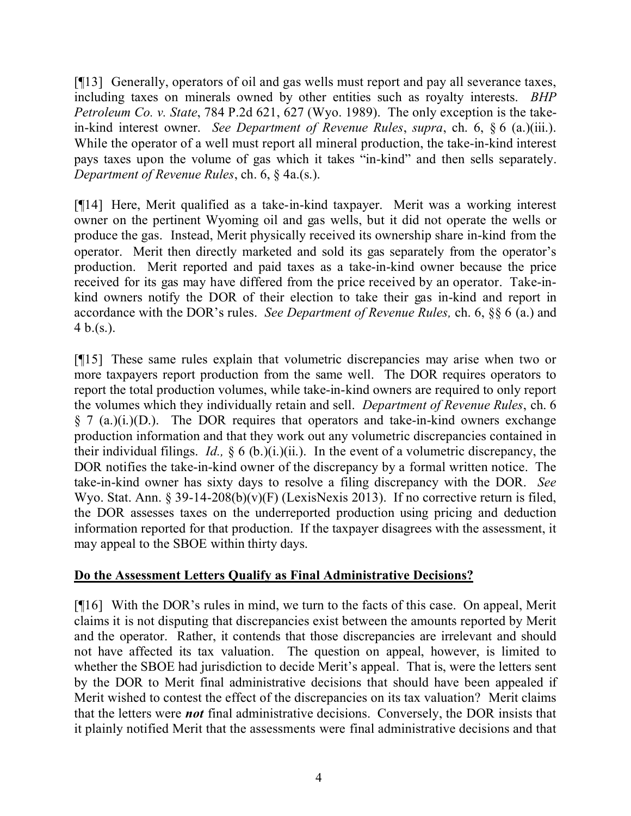[¶13] Generally, operators of oil and gas wells must report and pay all severance taxes, including taxes on minerals owned by other entities such as royalty interests. *BHP Petroleum Co. v. State*, 784 P.2d 621, 627 (Wyo. 1989). The only exception is the takein-kind interest owner. *See Department of Revenue Rules*, *supra*, ch. 6, § 6 (a.)(iii.). While the operator of a well must report all mineral production, the take-in-kind interest pays taxes upon the volume of gas which it takes "in-kind" and then sells separately. *Department of Revenue Rules*, ch. 6, § 4a.(s.).

[¶14] Here, Merit qualified as a take-in-kind taxpayer. Merit was a working interest owner on the pertinent Wyoming oil and gas wells, but it did not operate the wells or produce the gas. Instead, Merit physically received its ownership share in-kind from the operator. Merit then directly marketed and sold its gas separately from the operator's production. Merit reported and paid taxes as a take-in-kind owner because the price received for its gas may have differed from the price received by an operator. Take-inkind owners notify the DOR of their election to take their gas in-kind and report in accordance with the DOR's rules. *See Department of Revenue Rules,* ch. 6, §§ 6 (a.) and 4 b.(s.).

[¶15] These same rules explain that volumetric discrepancies may arise when two or more taxpayers report production from the same well. The DOR requires operators to report the total production volumes, while take-in-kind owners are required to only report the volumes which they individually retain and sell. *Department of Revenue Rules*, ch. 6  $\S$  7 (a.)(i.)(D.). The DOR requires that operators and take-in-kind owners exchange production information and that they work out any volumetric discrepancies contained in their individual filings. *Id.,* § 6 (b.)(i.)(ii.). In the event of a volumetric discrepancy, the DOR notifies the take-in-kind owner of the discrepancy by a formal written notice. The take-in-kind owner has sixty days to resolve a filing discrepancy with the DOR. *See*  Wyo. Stat. Ann. § 39-14-208(b)(v)(F) (LexisNexis 2013). If no corrective return is filed, the DOR assesses taxes on the underreported production using pricing and deduction information reported for that production. If the taxpayer disagrees with the assessment, it may appeal to the SBOE within thirty days.

# **Do the Assessment Letters Qualify as Final Administrative Decisions?**

[¶16] With the DOR's rules in mind, we turn to the facts of this case. On appeal, Merit claims it is not disputing that discrepancies exist between the amounts reported by Merit and the operator. Rather, it contends that those discrepancies are irrelevant and should not have affected its tax valuation. The question on appeal, however, is limited to whether the SBOE had jurisdiction to decide Merit's appeal. That is, were the letters sent by the DOR to Merit final administrative decisions that should have been appealed if Merit wished to contest the effect of the discrepancies on its tax valuation? Merit claims that the letters were *not* final administrative decisions. Conversely, the DOR insists that it plainly notified Merit that the assessments were final administrative decisions and that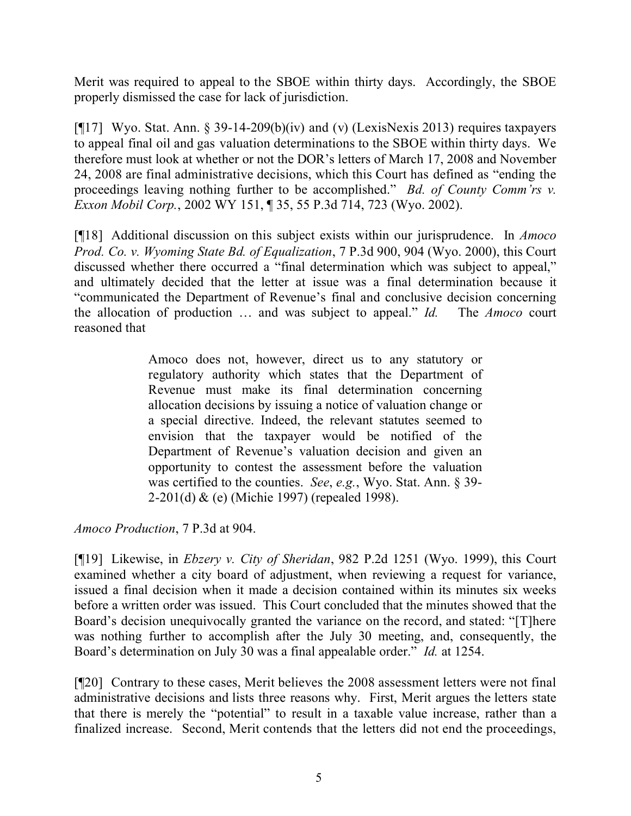Merit was required to appeal to the SBOE within thirty days. Accordingly, the SBOE properly dismissed the case for lack of jurisdiction.

[¶17] Wyo. Stat. Ann. § 39-14-209(b)(iv) and (v) (LexisNexis 2013) requires taxpayers to appeal final oil and gas valuation determinations to the SBOE within thirty days. We therefore must look at whether or not the DOR's letters of March 17, 2008 and November 24, 2008 are final administrative decisions, which this Court has defined as "ending the proceedings leaving nothing further to be accomplished." *Bd. of County Comm'rs v. Exxon Mobil Corp.*, 2002 WY 151, ¶ 35, 55 P.3d 714, 723 (Wyo. 2002).

[¶18] Additional discussion on this subject exists within our jurisprudence. In *Amoco Prod. Co. v. Wyoming State Bd. of Equalization*, 7 P.3d 900, 904 (Wyo. 2000), this Court discussed whether there occurred a "final determination which was subject to appeal," and ultimately decided that the letter at issue was a final determination because it "communicated the Department of Revenue's final and conclusive decision concerning the allocation of production … and was subject to appeal." *Id.* The *Amoco* court reasoned that

> Amoco does not, however, direct us to any statutory or regulatory authority which states that the Department of Revenue must make its final determination concerning allocation decisions by issuing a notice of valuation change or a special directive. Indeed, the relevant statutes seemed to envision that the taxpayer would be notified of the Department of Revenue's valuation decision and given an opportunity to contest the assessment before the valuation was certified to the counties. *See*, *e.g.*, Wyo. Stat. Ann. § 39- 2-201(d) & (e) (Michie 1997) (repealed 1998).

*Amoco Production*, 7 P.3d at 904.

[¶19] Likewise, in *Ebzery v. City of Sheridan*, 982 P.2d 1251 (Wyo. 1999), this Court examined whether a city board of adjustment, when reviewing a request for variance, issued a final decision when it made a decision contained within its minutes six weeks before a written order was issued. This Court concluded that the minutes showed that the Board's decision unequivocally granted the variance on the record, and stated: "[T]here was nothing further to accomplish after the July 30 meeting, and, consequently, the Board's determination on July 30 was a final appealable order." *Id.* at 1254.

[¶20] Contrary to these cases, Merit believes the 2008 assessment letters were not final administrative decisions and lists three reasons why. First, Merit argues the letters state that there is merely the "potential" to result in a taxable value increase, rather than a finalized increase. Second, Merit contends that the letters did not end the proceedings,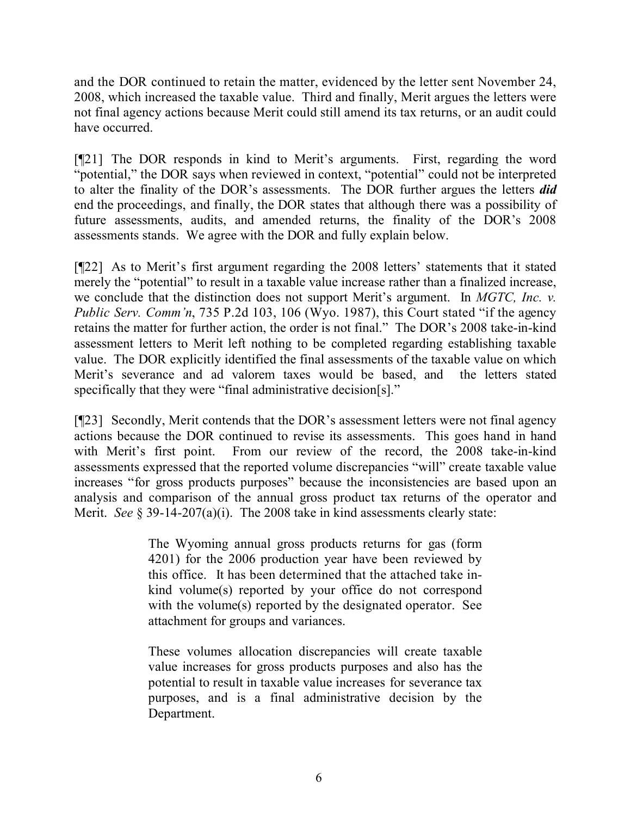and the DOR continued to retain the matter, evidenced by the letter sent November 24, 2008, which increased the taxable value. Third and finally, Merit argues the letters were not final agency actions because Merit could still amend its tax returns, or an audit could have occurred.

[¶21] The DOR responds in kind to Merit's arguments. First, regarding the word "potential," the DOR says when reviewed in context, "potential" could not be interpreted to alter the finality of the DOR's assessments. The DOR further argues the letters *did* end the proceedings, and finally, the DOR states that although there was a possibility of future assessments, audits, and amended returns, the finality of the DOR's 2008 assessments stands. We agree with the DOR and fully explain below.

[¶22] As to Merit's first argument regarding the 2008 letters' statements that it stated merely the "potential" to result in a taxable value increase rather than a finalized increase, we conclude that the distinction does not support Merit's argument. In *MGTC, Inc. v. Public Serv. Comm'n,* 735 P.2d 103, 106 (Wyo. 1987), this Court stated "if the agency retains the matter for further action, the order is not final." The DOR's 2008 take-in-kind assessment letters to Merit left nothing to be completed regarding establishing taxable value. The DOR explicitly identified the final assessments of the taxable value on which Merit's severance and ad valorem taxes would be based, and the letters stated specifically that they were "final administrative decision[s]."

[¶23] Secondly, Merit contends that the DOR's assessment letters were not final agency actions because the DOR continued to revise its assessments. This goes hand in hand with Merit's first point. From our review of the record, the 2008 take-in-kind assessments expressed that the reported volume discrepancies "will" create taxable value increases "for gross products purposes" because the inconsistencies are based upon an analysis and comparison of the annual gross product tax returns of the operator and Merit. *See* § 39-14-207(a)(i). The 2008 take in kind assessments clearly state:

> The Wyoming annual gross products returns for gas (form 4201) for the 2006 production year have been reviewed by this office. It has been determined that the attached take inkind volume(s) reported by your office do not correspond with the volume(s) reported by the designated operator. See attachment for groups and variances.

> These volumes allocation discrepancies will create taxable value increases for gross products purposes and also has the potential to result in taxable value increases for severance tax purposes, and is a final administrative decision by the Department.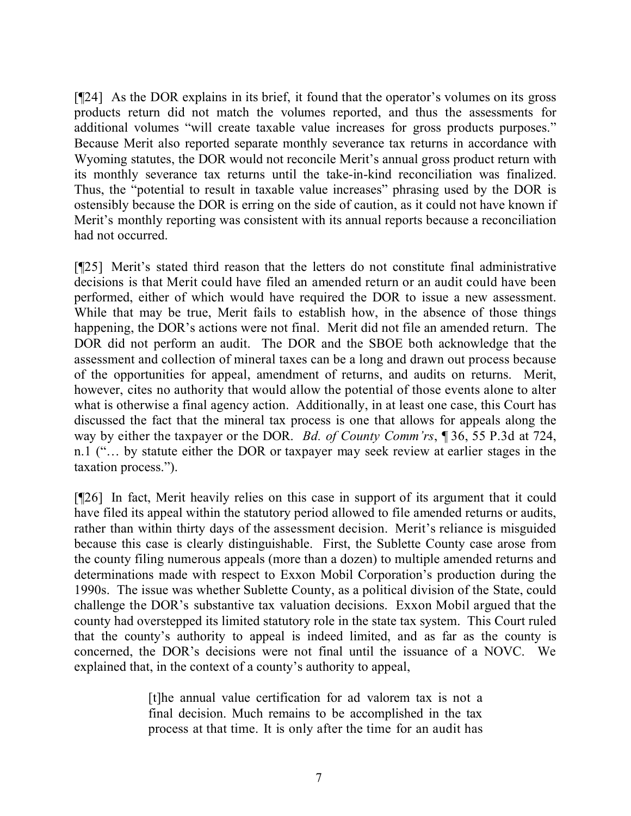[¶24] As the DOR explains in its brief, it found that the operator's volumes on its gross products return did not match the volumes reported, and thus the assessments for additional volumes "will create taxable value increases for gross products purposes." Because Merit also reported separate monthly severance tax returns in accordance with Wyoming statutes, the DOR would not reconcile Merit's annual gross product return with its monthly severance tax returns until the take-in-kind reconciliation was finalized. Thus, the "potential to result in taxable value increases" phrasing used by the DOR is ostensibly because the DOR is erring on the side of caution, as it could not have known if Merit's monthly reporting was consistent with its annual reports because a reconciliation had not occurred.

[¶25] Merit's stated third reason that the letters do not constitute final administrative decisions is that Merit could have filed an amended return or an audit could have been performed, either of which would have required the DOR to issue a new assessment. While that may be true, Merit fails to establish how, in the absence of those things happening, the DOR's actions were not final. Merit did not file an amended return. The DOR did not perform an audit. The DOR and the SBOE both acknowledge that the assessment and collection of mineral taxes can be a long and drawn out process because of the opportunities for appeal, amendment of returns, and audits on returns. Merit, however, cites no authority that would allow the potential of those events alone to alter what is otherwise a final agency action. Additionally, in at least one case, this Court has discussed the fact that the mineral tax process is one that allows for appeals along the way by either the taxpayer or the DOR. *Bd. of County Comm'rs*, ¶ 36, 55 P.3d at 724, n.1 ("… by statute either the DOR or taxpayer may seek review at earlier stages in the taxation process.").

[¶26] In fact, Merit heavily relies on this case in support of its argument that it could have filed its appeal within the statutory period allowed to file amended returns or audits, rather than within thirty days of the assessment decision. Merit's reliance is misguided because this case is clearly distinguishable. First, the Sublette County case arose from the county filing numerous appeals (more than a dozen) to multiple amended returns and determinations made with respect to Exxon Mobil Corporation's production during the 1990s. The issue was whether Sublette County, as a political division of the State, could challenge the DOR's substantive tax valuation decisions. Exxon Mobil argued that the county had overstepped its limited statutory role in the state tax system. This Court ruled that the county's authority to appeal is indeed limited, and as far as the county is concerned, the DOR's decisions were not final until the issuance of a NOVC. We explained that, in the context of a county's authority to appeal,

> [t]he annual value certification for ad valorem tax is not a final decision. Much remains to be accomplished in the tax process at that time. It is only after the time for an audit has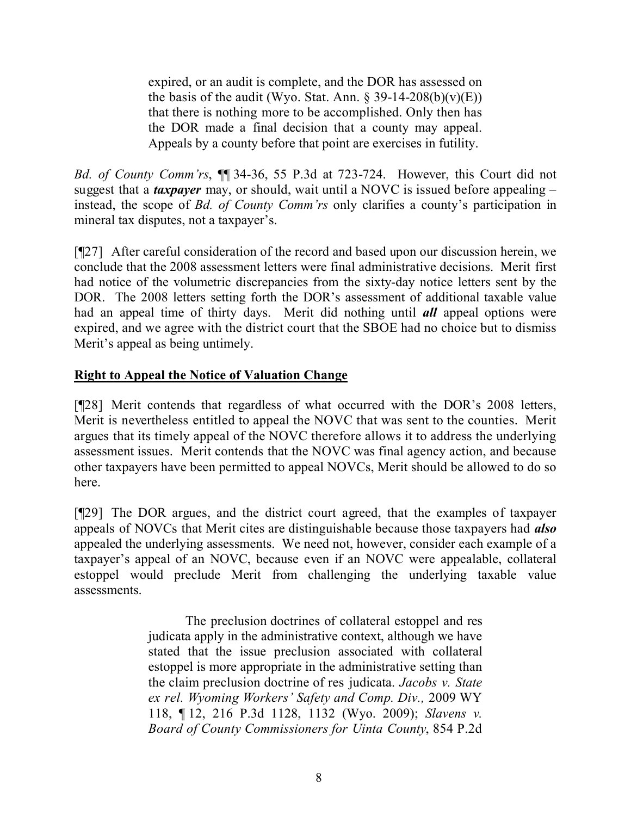expired, or an audit is complete, and the DOR has assessed on the basis of the audit (Wyo. Stat. Ann.  $\S 39-14-208(b)(v)(E)$ ) that there is nothing more to be accomplished. Only then has the DOR made a final decision that a county may appeal. Appeals by a county before that point are exercises in futility.

*Bd. of County Comm'rs*, ¶¶ 34-36, 55 P.3d at 723-724. However, this Court did not suggest that a *taxpayer* may, or should, wait until a NOVC is issued before appealing – instead, the scope of *Bd. of County Comm'rs* only clarifies a county's participation in mineral tax disputes, not a taxpayer's.

[¶27] After careful consideration of the record and based upon our discussion herein, we conclude that the 2008 assessment letters were final administrative decisions. Merit first had notice of the volumetric discrepancies from the sixty-day notice letters sent by the DOR. The 2008 letters setting forth the DOR's assessment of additional taxable value had an appeal time of thirty days. Merit did nothing until *all* appeal options were expired, and we agree with the district court that the SBOE had no choice but to dismiss Merit's appeal as being untimely.

# **Right to Appeal the Notice of Valuation Change**

[¶28] Merit contends that regardless of what occurred with the DOR's 2008 letters, Merit is nevertheless entitled to appeal the NOVC that was sent to the counties. Merit argues that its timely appeal of the NOVC therefore allows it to address the underlying assessment issues. Merit contends that the NOVC was final agency action, and because other taxpayers have been permitted to appeal NOVCs, Merit should be allowed to do so here.

[¶29] The DOR argues, and the district court agreed, that the examples of taxpayer appeals of NOVCs that Merit cites are distinguishable because those taxpayers had *also* appealed the underlying assessments. We need not, however, consider each example of a taxpayer's appeal of an NOVC, because even if an NOVC were appealable, collateral estoppel would preclude Merit from challenging the underlying taxable value assessments.

> The preclusion doctrines of collateral estoppel and res judicata apply in the administrative context, although we have stated that the issue preclusion associated with collateral estoppel is more appropriate in the administrative setting than the claim preclusion doctrine of res judicata. *Jacobs v. State ex rel. Wyoming Workers' Safety and Comp. Div.,* 2009 WY 118, ¶ 12, 216 P.3d 1128, 1132 (Wyo. 2009); *Slavens v. Board of County Commissioners for Uinta County*, 854 P.2d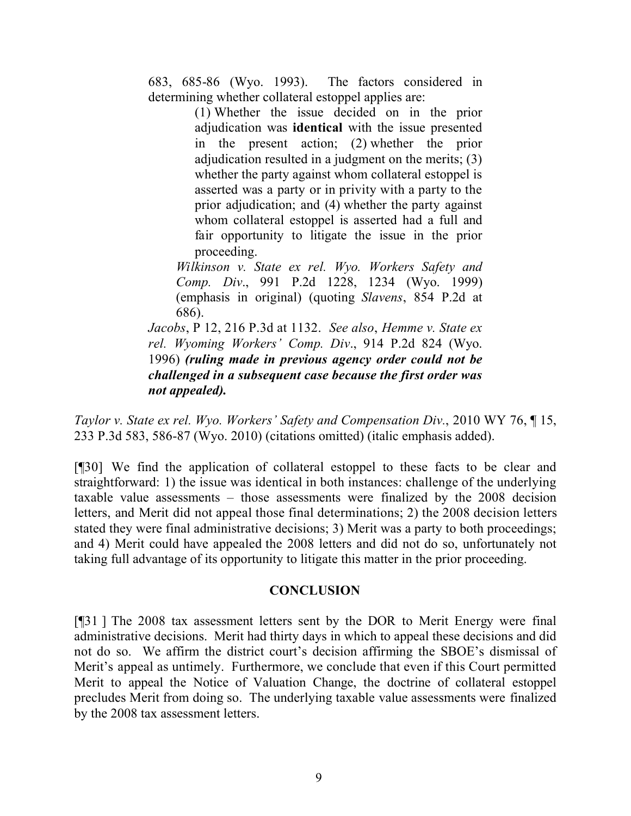683, 685-86 (Wyo. 1993). The factors considered in determining whether collateral estoppel applies are:

> (1) Whether the issue decided on in the prior adjudication was **identical** with the issue presented in the present action; (2) whether the prior adjudication resulted in a judgment on the merits; (3) whether the party against whom collateral estoppel is asserted was a party or in privity with a party to the prior adjudication; and (4) whether the party against whom collateral estoppel is asserted had a full and fair opportunity to litigate the issue in the prior proceeding.

*Wilkinson v. State ex rel. Wyo. Workers Safety and Comp. Div*., 991 P.2d 1228, 1234 (Wyo. 1999) (emphasis in original) (quoting *Slavens*, 854 P.2d at 686).

*Jacobs*, P 12, 216 P.3d at 1132. *See also*, *Hemme v. State ex rel. Wyoming Workers' Comp. Div*., 914 P.2d 824 (Wyo. 1996) *(ruling made in previous agency order could not be challenged in a subsequent case because the first order was not appealed).*

*Taylor v. State ex rel. Wyo. Workers' Safety and Compensation Div.*, 2010 WY 76, ¶ 15, 233 P.3d 583, 586-87 (Wyo. 2010) (citations omitted) (italic emphasis added).

[¶30] We find the application of collateral estoppel to these facts to be clear and straightforward: 1) the issue was identical in both instances: challenge of the underlying taxable value assessments – those assessments were finalized by the 2008 decision letters, and Merit did not appeal those final determinations; 2) the 2008 decision letters stated they were final administrative decisions; 3) Merit was a party to both proceedings; and 4) Merit could have appealed the 2008 letters and did not do so, unfortunately not taking full advantage of its opportunity to litigate this matter in the prior proceeding.

### **CONCLUSION**

[¶31 ] The 2008 tax assessment letters sent by the DOR to Merit Energy were final administrative decisions. Merit had thirty days in which to appeal these decisions and did not do so. We affirm the district court's decision affirming the SBOE's dismissal of Merit's appeal as untimely. Furthermore, we conclude that even if this Court permitted Merit to appeal the Notice of Valuation Change, the doctrine of collateral estoppel precludes Merit from doing so. The underlying taxable value assessments were finalized by the 2008 tax assessment letters.